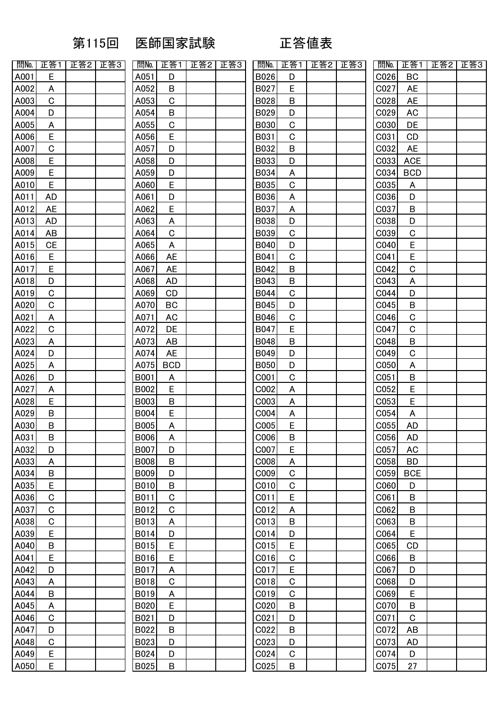## 第115回 医師国家試験 正答値表

| 問No.              | 正答1                     | 正答2 | 正答3 |                |
|-------------------|-------------------------|-----|-----|----------------|
| A001              | Ę                       |     |     |                |
| A002              | $\overline{A}$          |     |     |                |
| A003              | $\overline{C}$          |     |     | $\frac{1}{2}$  |
| A00 $\frac{4}{3}$ | $\overline{\mathsf{D}}$ |     |     |                |
| A005              | $\overline{A}$          |     |     |                |
| A006              |                         |     |     |                |
| A007              | $rac{E}{C}$             |     |     |                |
| A008              | E                       |     |     |                |
| A009              | $\overline{E}$          |     |     |                |
| A010              | E                       |     |     |                |
| A011              | AD                      |     |     |                |
| A012              | <u>AE</u>               |     |     |                |
| A013              | AD                      |     |     |                |
| A014              | $\underline{AB}$        |     |     |                |
| A015              | CE                      |     |     |                |
| A016              | E                       |     |     |                |
| A017              | $\overline{E}$          |     |     |                |
| A018              | D                       |     |     |                |
| A019              |                         |     |     | $\frac{1}{2}$  |
| A020              |                         |     |     |                |
| A021              | $rac{C}{AC}$            |     |     |                |
| A022              |                         |     |     |                |
| A023              | $\frac{2}{A}$           |     |     |                |
| A024              |                         |     |     |                |
| A025              | $\frac{D}{A}$           |     |     |                |
| A026              | $\overline{D}$          |     |     | $\overline{1}$ |
| A027              |                         |     |     | $\overline{1}$ |
| A028              | $\frac{A}{E}$           |     |     | $\overline{1}$ |
| A029              | B                       |     |     | E              |
| A030              | $\overline{B}$          |     |     | E              |
| A031              | В                       |     |     | E              |
| A032              | D                       |     |     | E              |
| A033              | A                       |     |     | E              |
| A034              | В                       |     |     | E              |
| A035              | E                       |     |     | E              |
| A036              | $\overline{C}$          |     |     | E              |
| A037              |                         |     |     | E              |
| A038              | $\frac{C}{C}$           |     |     | E              |
| A039              | E                       |     |     | E              |
| A040              | B                       |     |     | E              |
| A041              | E                       |     |     | E              |
| A042              | D                       |     |     | E              |
| A043              | $\overline{A}$          |     |     | E              |
| A044              | B                       |     |     | E              |
| A045              | $\overline{A}$          |     |     | E              |
| A046              | $\overline{c}$          |     |     | E              |
| A047              | $\overline{D}$          |     |     | E              |
| A048              | $\overline{C}$          |     |     | E              |
| A049              | E                       |     |     | ŀ              |
| A050              | E                       |     |     | E              |

| 問No.        | 正答1         | 正答2 | 正答3 | 問No.        | 正答1         | 正答2 | 正答3 | 問No.             | 正答1         | 正答2 | 正答3 | 問No.             | 正答1         | 正答2 | 正答3 |
|-------------|-------------|-----|-----|-------------|-------------|-----|-----|------------------|-------------|-----|-----|------------------|-------------|-----|-----|
| A001        | E           |     |     | A051        | D           |     |     | B026             | D           |     |     | C026             | BC          |     |     |
| A002        | A           |     |     | A052        | B           |     |     | B027             | E           |     |     | C027             | <b>AE</b>   |     |     |
| A003        | $\mathbf C$ |     |     | A053        | $\mathbf C$ |     |     | <b>B028</b>      | B           |     |     | C028             | <b>AE</b>   |     |     |
| A004        | D           |     |     | A054        | B           |     |     | B029             | D           |     |     | C029             | <b>AC</b>   |     |     |
| A005        | A           |     |     | A055        | $\mathbf C$ |     |     | B030             | $\mathbf C$ |     |     | CO30             | DE          |     |     |
| A006        | E           |     |     | A056        | E           |     |     | B031             | $\mathsf C$ |     |     | C031             | CD          |     |     |
| A007        | $\mathbf C$ |     |     | A057        | D           |     |     | B032             | B           |     |     | C032             | <b>AE</b>   |     |     |
| A008        | E           |     |     | A058        | D           |     |     | <b>B033</b>      | D           |     |     | C033             | <b>ACE</b>  |     |     |
| A009        | E           |     |     | A059        | D           |     |     | B034             | A           |     |     | CO34             | <b>BCD</b>  |     |     |
| A010        | E           |     |     | A060        | E           |     |     | B035             | $\mathbf C$ |     |     | C035             | A           |     |     |
| A011        | <b>AD</b>   |     |     | A061        | D           |     |     | B036             | A           |     |     | C036             | D           |     |     |
| <u>A012</u> | <b>AE</b>   |     |     | A062        | E           |     |     | B037             | A           |     |     | C037             | B           |     |     |
| A013        | <b>AD</b>   |     |     | A063        | A           |     |     | <b>B038</b>      | D           |     |     | C038             | D           |     |     |
| A014        | AB          |     |     | A064        | $\mathbf C$ |     |     | B039             | $\mathsf C$ |     |     | C039             | $\mathsf C$ |     |     |
| A015        | <b>CE</b>   |     |     | A065        | A           |     |     | B040             | D           |     |     | C040             | E           |     |     |
| A016        | E           |     |     | A066        | <b>AE</b>   |     |     | B041             | $\mathsf C$ |     |     | C041             | E           |     |     |
| A017        | E           |     |     | A067        | <b>AE</b>   |     |     | B042             | $\sf B$     |     |     | C042             | $\mathbf C$ |     |     |
| A018        | D           |     |     | A068        | <b>AD</b>   |     |     | B043             | $\sf B$     |     |     | C043             | A           |     |     |
| A019        | $\mathbf C$ |     |     | A069        | CD          |     |     | B044             | $\mathsf C$ |     |     | C044             | D           |     |     |
| A020        | $\mathbf C$ |     |     | A070        | BC          |     |     | B045             | D           |     |     | C045             | B           |     |     |
| A021        | A           |     |     | A071        | <b>AC</b>   |     |     | B046             | $\mathbf C$ |     |     | C046             | $\mathsf C$ |     |     |
| A022        | $\mathbf C$ |     |     | A072        | DE          |     |     | B047             | E           |     |     | C047             | $\mathsf C$ |     |     |
| A023        | A           |     |     | A073        | AB          |     |     | B048             | B           |     |     | C048             | $\sf B$     |     |     |
| A024        | D           |     |     | A074        | <b>AE</b>   |     |     | B049             | D           |     |     | C049             | $\mathsf C$ |     |     |
| A025        | A           |     |     | A075        | <b>BCD</b>  |     |     | <b>B050</b>      | D           |     |     | C050             | A           |     |     |
| A026        | D           |     |     | <b>B001</b> | A           |     |     | C001             | $\mathbf C$ |     |     | C051             | B           |     |     |
| A027        | A           |     |     | <b>B002</b> | E           |     |     | C002             | A           |     |     | C052             | E           |     |     |
| A028        | E           |     |     | B003        | B           |     |     | C003             | A           |     |     | C053             | E           |     |     |
| A029        | B           |     |     | <b>B004</b> | E           |     |     | C004             | A           |     |     | C054             | A           |     |     |
| A030        | $\sf B$     |     |     | <b>B005</b> | A           |     |     | COO <sub>5</sub> | E           |     |     | C <sub>055</sub> | AD          |     |     |
| A031        | B           |     |     | <b>B006</b> | A           |     |     | C006             | В           |     |     | C056             | AD          |     |     |
| A032        | D           |     |     | <b>B007</b> | D           |     |     | C007             | E           |     |     | C057             | <b>AC</b>   |     |     |
| A033        | A           |     |     | <b>B008</b> | B           |     |     | C008             | A           |     |     | C058             | <b>BD</b>   |     |     |
| A034        | B           |     |     | <b>B009</b> | D           |     |     | COO9             | $\mathbf C$ |     |     | C <sub>059</sub> | <b>BCE</b>  |     |     |
| A035        | E           |     |     | B010        | B           |     |     | C010             | $\mathbf C$ |     |     | C060             | D           |     |     |
| A036        | $\mathbf C$ |     |     | B011        | $\mathbf C$ |     |     | C011             | E           |     |     | C061             | B           |     |     |
| A037        | C           |     |     | B012        | $\mathbf C$ |     |     | C012             | A           |     |     | C062             | B           |     |     |
| A038        | $\mathbf C$ |     |     | B013        | A           |     |     | C013             | B           |     |     | C063             | B           |     |     |
| A039        | E           |     |     | B014        | D           |     |     | CO14             | D           |     |     | C064             | E           |     |     |
| A040        | B           |     |     | B015        | E           |     |     | CO15             | E           |     |     | C065             | <b>CD</b>   |     |     |
| A041        | E           |     |     | B016        | E           |     |     | C016             | $\mathbf C$ |     |     | C066             | B           |     |     |
| A042        | D           |     |     | B017        | A           |     |     | C017             | E           |     |     | C067             | D           |     |     |
| A043        | A           |     |     | <b>B018</b> | $\mathbf C$ |     |     | CO18             | $\mathbf C$ |     |     | C068             | D           |     |     |
| A044        | B           |     |     | B019        | A           |     |     | CO19             | $\mathbf C$ |     |     | C069             | E           |     |     |
| A045        | A           |     |     | B020        | E           |     |     | C020             | B           |     |     | C070             | B           |     |     |
| A046        | $\mathbf C$ |     |     | B021        | D           |     |     | C021             | D           |     |     | C071             | $\mathsf C$ |     |     |
| A047        | D           |     |     | B022        | B           |     |     | C022             | B           |     |     | C072             | AB          |     |     |
| A048        | $\mathbf C$ |     |     | B023        | D           |     |     | CO <sub>23</sub> | D           |     |     | C073             | AD          |     |     |
| A049        | E           |     |     | B024        | D           |     |     | C024             | $\mathbf C$ |     |     | C074             | D           |     |     |
| A050        | E           |     |     | <b>B025</b> | B           |     |     | CO <sub>25</sub> | B           |     |     | C075             | 27          |     |     |
|             |             |     |     |             |             |     |     |                  |             |     |     |                  |             |     |     |

| 問No.               | 正答<br>1                 | 正答2 | 正答3 |                                                                                |
|--------------------|-------------------------|-----|-----|--------------------------------------------------------------------------------|
| <b>B026</b>        | D                       |     |     | $\overline{\phantom{a}}$                                                       |
| B027               | E                       |     |     | $\overline{\mathbf{C}}$                                                        |
| B028               | В                       |     |     |                                                                                |
| B029               | $\overline{D}$          |     |     |                                                                                |
| <b>B030</b>        | $\overline{c}$          |     |     |                                                                                |
| B031               | C                       |     |     |                                                                                |
| B032               | $\overline{B}$          |     |     |                                                                                |
| B033               | D                       |     |     |                                                                                |
| B034               | $\overline{A}$          |     |     | C<br>C<br>C<br>C<br>C<br>C<br>C<br>C<br>C<br>C<br>C<br>C<br>C<br><br>C<br><br> |
| B035               | $\overline{c}$          |     |     |                                                                                |
| <b>B036</b>        | $\overline{A}$          |     |     | $\frac{c}{c}$                                                                  |
| <b>B037</b>        | $\overline{A}$          |     |     |                                                                                |
| <b>B038</b>        | $\overline{D}$          |     |     |                                                                                |
| B039               | $\overline{C}$          |     |     |                                                                                |
| <b>B040</b>        | D                       |     |     |                                                                                |
| <b>B041</b>        | $\overline{C}$          |     |     |                                                                                |
| B042               | B                       |     |     | $\frac{1}{2}$                                                                  |
| B043               | $\overline{B}$          |     |     |                                                                                |
| <b>B044</b>        | C                       |     |     |                                                                                |
| <b>B045</b>        | $\overline{\mathsf{D}}$ |     |     |                                                                                |
| <b>B046</b>        | C                       |     |     | $\frac{C}{C}$                                                                  |
| B047               | E                       |     |     |                                                                                |
| <b>B048</b>        | B                       |     |     |                                                                                |
| B049               | D                       |     |     |                                                                                |
| <b>B050</b>        | $\overline{D}$          |     |     |                                                                                |
| C001               | $\overline{C}$          |     |     | C C C C C C C C                                                                |
| C002               | $\overline{A}$          |     |     |                                                                                |
| C003               | $\overline{A}$          |     |     |                                                                                |
| C004               | $\overline{A}$          |     |     |                                                                                |
| C005               | E                       |     |     |                                                                                |
| C006               | $\overline{B}$          |     |     | $\overline{C}$                                                                 |
| C007               | E                       |     |     | $\overline{\mathbf{C}}$                                                        |
| C008               | $\overline{A}$          |     |     | $\overline{\mathbf{C}}$                                                        |
| C009               | $\overline{C}$          |     |     | $\overline{C}$                                                                 |
| C010               | $\overline{c}$          |     |     | $\overline{\phantom{a}}$                                                       |
| C <sub>011</sub>   | $\overline{E}$          |     |     | $\overline{\mathbf{C}}$                                                        |
| C012               | $\overline{A}$          |     |     | $\overline{C}$                                                                 |
| C <sub>013</sub>   | $\overline{B}$          |     |     | $\overline{\phantom{a}}$                                                       |
| C <sub>014</sub>   | D                       |     |     | $\overline{\mathbf{C}}$                                                        |
| C <sub>015</sub>   | E                       |     |     | $\frac{1}{6}$                                                                  |
| C016               | $\overline{C}$          |     |     |                                                                                |
| C017               | E                       |     |     | $\overline{\mathbf{c}}$                                                        |
| C018               | $\overline{C}$          |     |     | $\overline{\mathbf{C}}$                                                        |
| $\underline{CO19}$ | C                       |     |     | $\overline{\mathbf{C}}$                                                        |
| C <sub>020</sub>   | В                       |     |     | $\frac{1}{2}$                                                                  |
| C <sub>021</sub>   | D                       |     |     |                                                                                |
| C022               | B                       |     |     | $\overline{C}$                                                                 |
| C <sub>023</sub>   | D                       |     |     | $\overline{C}$                                                                 |
| C <sub>024</sub>   | C                       |     |     | $\frac{1}{2}$                                                                  |
| C025               | B                       |     |     |                                                                                |

| 問No.                     | 正答1                          | 正答2 | 正答3 |
|--------------------------|------------------------------|-----|-----|
| C026                     | BC                           |     |     |
| C027                     | AE                           |     |     |
| C028                     | <b>AE</b>                    |     |     |
| C029                     | <u>AC</u>                    |     |     |
| C030                     | DE                           |     |     |
| C031                     | CD                           |     |     |
| C032                     | <b>AE</b>                    |     |     |
| CO <sub>33</sub>         | <b>ACE</b>                   |     |     |
| C034                     | <b>BCD</b>                   |     |     |
| C035                     | $\overline{A}$               |     |     |
| C036                     | D                            |     |     |
| C037                     | $\overline{B}$               |     |     |
| C038                     | $\overline{D}$               |     |     |
| C039                     | $\overline{C}$               |     |     |
| C040                     |                              |     |     |
| C041                     | $E$<br>$E$                   |     |     |
| C042                     | $\overline{c}$               |     |     |
| 0043                     | $\overline{A}$               |     |     |
| C044                     | $\overline{\mathsf{D}}$      |     |     |
| $\underline{C}045$       | $\overline{\mathsf{B}}$      |     |     |
| C046                     | $\overline{c}$               |     |     |
| C047                     | $\overline{c}$               |     |     |
| C048                     | $\overline{B}$               |     |     |
| C049                     |                              |     |     |
|                          | $\frac{C}{A}$                |     |     |
| C <sub>050</sub><br>C051 |                              |     |     |
|                          | $\overline{B}$               |     |     |
| C052<br>C053             | $rac{E}{E}$                  |     |     |
| C054                     | $\overline{A}$               |     |     |
| C055                     | AD                           |     |     |
|                          |                              |     |     |
| <u>C056</u>              | AD                           |     |     |
| C057                     | <u>AC</u>                    |     |     |
| C058                     | <u>BD</u>                    |     |     |
| C059                     | <u>BCE</u><br>$\overline{D}$ |     |     |
| C060                     |                              |     |     |
| C061                     | B                            |     |     |
| C062                     | $\overline{B}$               |     |     |
| C063                     | $\overline{B}$               |     |     |
| C064                     | $rac{E}{CD}$                 |     |     |
| C065                     |                              |     |     |
| C066                     | $\overline{B}$               |     |     |
| C067                     | D                            |     |     |
| C068                     | $\overline{D}$               |     |     |
|                          | $rac{E}{B}$                  |     |     |
|                          |                              |     |     |
| CO70<br>CO71<br>CO72     | $\overline{c}$               |     |     |
|                          | <u>AB</u>                    |     |     |
| C073                     | <u>AD</u>                    |     |     |
| C074<br>C075             | $\overline{D}$               |     |     |
|                          | 27                           |     |     |